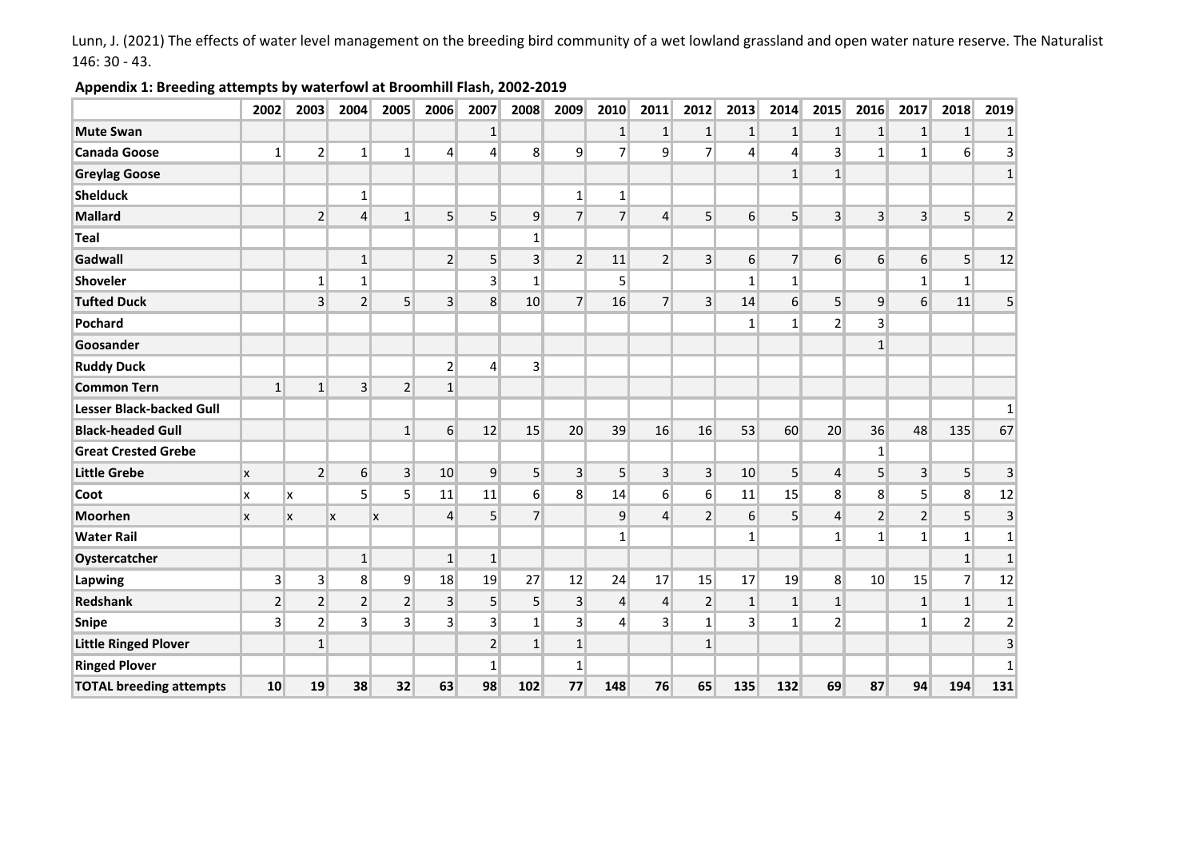Lunn, J. (2021) The effects of water level management on the breeding bird community of a wet lowland grassland and open water nature reserve. The Naturalist 146: 30 - 43.

## **Appendix 1: Breeding attempts by waterfowl at Broomhill Flash, 2002-2019**

|                                 | 2002           | 2003           | 2004             | 2005           | 2006           | 2007            | 2008            | 2009            | 2010           | 2011            | 2012             | 2013            | 2014             | 2015             | 2016             | 2017             | 2018                     | 2019            |
|---------------------------------|----------------|----------------|------------------|----------------|----------------|-----------------|-----------------|-----------------|----------------|-----------------|------------------|-----------------|------------------|------------------|------------------|------------------|--------------------------|-----------------|
| <b>Mute Swan</b>                |                |                |                  |                |                | $\mathbf{1}$    |                 |                 | 1              | $\mathbf{1}$    | $\mathbf{1}$     | 1               | 1                | $\vert$          | 1                | $\mathbf{1}$     | $\mathbf{1}$             | 1               |
| <b>Canada Goose</b>             | $\vert$ 1      | $\overline{2}$ | $\mathbf{1}$     | $1\vert$       | 4              | $\overline{4}$  | 8 <sup>1</sup>  | $\overline{9}$  | $\overline{7}$ | 9               | $\overline{7}$   | $\overline{4}$  | $\vert$          | $\overline{3}$   | $\mathbf{1}$     | $1\overline{ }$  | 6 <sup>1</sup>           | $\vert$ 3       |
| <b>Greylag Goose</b>            |                |                |                  |                |                |                 |                 |                 |                |                 |                  |                 | 1                | $\mathbf{1}$     |                  |                  |                          | $1\vert$        |
| <b>Shelduck</b>                 |                |                | $1\vert$         |                |                |                 |                 | $1\vert$        | 1              |                 |                  |                 |                  |                  |                  |                  |                          |                 |
| <b>Mallard</b>                  |                | $\overline{2}$ | $\overline{4}$   | $\mathbf{1}$   | 5              | $\overline{5}$  | 9               | $\overline{7}$  | $\overline{7}$ | $\overline{4}$  | $\overline{5}$   | 6 <sup>1</sup>  | 5 <sup>1</sup>   | $\vert 3 \vert$  | 3                | $\overline{3}$   | 5                        | $\overline{2}$  |
| <b>Teal</b>                     |                |                |                  |                |                |                 | $1\overline{ }$ |                 |                |                 |                  |                 |                  |                  |                  |                  |                          |                 |
| Gadwall                         |                |                | $\mathbf{1}$     |                | 2 <sup>2</sup> | $5\overline{)}$ | 3 <sup>2</sup>  | $\overline{2}$  | 11             | $\overline{2}$  | $\vert 3 \vert$  | 6 <sup>1</sup>  | $\overline{7}$   | $6 \overline{6}$ | $6 \overline{6}$ | $6 \mid$         | $\mathsf{S}$             | 12              |
| <b>Shoveler</b>                 |                | $1\vert$       | 1 <sup>1</sup>   |                |                | $\overline{3}$  | $1\vert$        |                 | $\overline{5}$ |                 |                  | 1 <sup>1</sup>  | 1 <sup>1</sup>   |                  |                  | $1\overline{ }$  | $1\overline{ }$          |                 |
| <b>Tufted Duck</b>              |                | $\overline{3}$ | $\overline{2}$   | $\overline{5}$ | $\overline{3}$ | 8               | 10 <sup>1</sup> | 7 <sup>1</sup>  | 16             | $\overline{7}$  | $\overline{3}$   | 14              | $6 \overline{6}$ | 5 <sup>1</sup>   | 9                | $6 \overline{6}$ | 11                       | 5 <sup>2</sup>  |
| Pochard                         |                |                |                  |                |                |                 |                 |                 |                |                 |                  | $1\vert$        | $1\vert$         | $\overline{2}$   | $\vert$ 3        |                  |                          |                 |
| Goosander                       |                |                |                  |                |                |                 |                 |                 |                |                 |                  |                 |                  |                  | $\mathbf{1}$     |                  |                          |                 |
| <b>Ruddy Duck</b>               |                |                |                  |                | $\overline{2}$ | $\overline{4}$  | $\vert$ 3       |                 |                |                 |                  |                 |                  |                  |                  |                  |                          |                 |
| <b>Common Tern</b>              | $\mathbf{1}$   | $\mathbf{1}$   | $\overline{3}$   | $\overline{2}$ | $\mathbf{1}$   |                 |                 |                 |                |                 |                  |                 |                  |                  |                  |                  |                          |                 |
| <b>Lesser Black-backed Gull</b> |                |                |                  |                |                |                 |                 |                 |                |                 |                  |                 |                  |                  |                  |                  |                          | $1\vert$        |
| <b>Black-headed Gull</b>        |                |                |                  | $\mathbf 1$    | $6 \mid$       | 12              | 15              | 20              | 39             | 16              | 16               | 53              | 60               | 20               | 36               | 48               | 135                      | 67              |
| <b>Great Crested Grebe</b>      |                |                |                  |                |                |                 |                 |                 |                |                 |                  |                 |                  |                  | $\mathbf{1}$     |                  |                          |                 |
| <b>Little Grebe</b>             | X              | 2 <sup>1</sup> | $6 \overline{6}$ | $\vert$ 3      | 10             | $\overline{9}$  | 5 <sup>1</sup>  | 3 <sup>1</sup>  | 5 <sup>1</sup> | $\vert 3 \vert$ | 3 <sup>1</sup>   | 10 <sup>1</sup> | 5 <sup>1</sup>   | $\overline{4}$   | $\overline{5}$   | 3 <sup>2</sup>   | 5 <sup>1</sup>           | 3               |
| Coot                            | x              | x              | 5 <sup>1</sup>   | 5 <sup>1</sup> | 11             | 11              | $6 \mid$        | 8 <sup>1</sup>  | 14             | 6 <sup>1</sup>  | $6 \overline{6}$ | 11              | 15               | 8 <sup>°</sup>   | 8                | 5                | 8 <sup>°</sup>           | 12              |
| <b>Moorhen</b>                  | X              | X              | x                | X              | $\overline{4}$ | $5\overline{)}$ | $\overline{7}$  |                 | 9              | $\vert 4 \vert$ | $\overline{2}$   | 6               | 5 <sup>2</sup>   | $\overline{4}$   | $\overline{2}$   | $\overline{2}$   | $5\overline{)}$          | $\vert$ 3       |
| <b>Water Rail</b>               |                |                |                  |                |                |                 |                 |                 | $\mathbf{1}$   |                 |                  | 1 <sup>1</sup>  |                  | $\mathbf{1}$     | $\mathbf{1}$     | $1\overline{ }$  | 1 <sup>1</sup>           | $1\vert$        |
| Oystercatcher                   |                |                | $\mathbf{1}$     |                | 1              | $\mathbf{1}$    |                 |                 |                |                 |                  |                 |                  |                  |                  |                  | $\mathbf{1}$             | $1\vert$        |
| Lapwing                         | $\vert$ 3      | 3 <sup>1</sup> | 8 <sup>1</sup>   | 9              | 18             | 19              | 27              | 12              | 24             | 17              | 15               | 17              | 19               | 8 <sup>1</sup>   | 10               | 15               | $\overline{\mathcal{L}}$ | 12              |
| <b>Redshank</b>                 | $\overline{2}$ | 2 <sup>1</sup> | $\overline{2}$   | 2              | 3 <sup>1</sup> | 5               | 5 <sup>1</sup>  | $\vert 3 \vert$ | $\overline{4}$ | $\overline{4}$  | $\overline{2}$   | 1               | 1                | $1\vert$         |                  | $\mathbf{1}$     | 1                        | 1               |
| <b>Snipe</b>                    | $\overline{3}$ | $\overline{2}$ | $\vert$ 3        | $\overline{3}$ | 3 <sup>1</sup> | $\overline{3}$  | $1\vert$        | 3 <sup>1</sup>  | $\overline{4}$ | $\overline{3}$  | $1\vert$         | 3 <sup>1</sup>  | $1\vert$         | $\overline{2}$   |                  | $\mathbf{1}$     | $\overline{2}$           | $\overline{2}$  |
| <b>Little Ringed Plover</b>     |                | $1\vert$       |                  |                |                | $\overline{2}$  | $1\vert$        | 1               |                |                 | $\mathbf{1}$     |                 |                  |                  |                  |                  |                          | $\vert 3 \vert$ |
| <b>Ringed Plover</b>            |                |                |                  |                |                | $\mathbf{1}$    |                 | $1\vert$        |                |                 |                  |                 |                  |                  |                  |                  |                          | $1\vert$        |
| <b>TOTAL breeding attempts</b>  | 10             | 19             | 38               | 32             | 63             | 98              | 102             | 77              | 148            | 76              | 65               | 135             | 132              | 69               | 87               | 94               | 194                      | 131             |